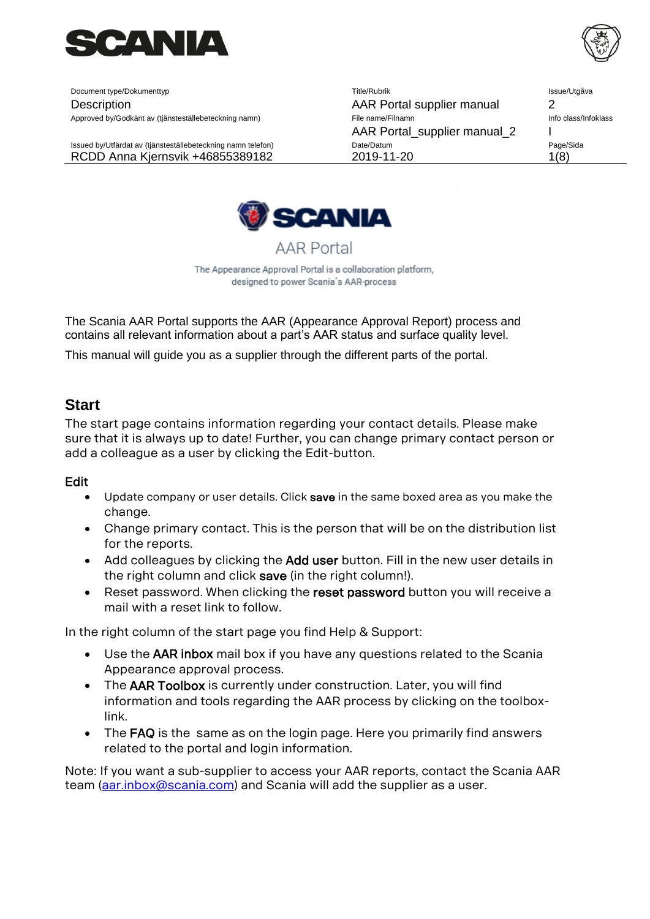

Document type/Dokumenttyp Title/Rubrik Issue/Utgåva Description AAR Portal supplier manual 2 Approved by/Godkänt av (tjänsteställebeteckning namn) File name/Filnamn Info class/Infoklass and the class/Infoklass AAR Portal supplier manual 2 I Issued by/Utfärdat av (tjänsteställebeteckning namn telefon) Date/Datum Date/Datum Page/Sida RCDD Anna Kjernsvik +46855389182 2019-11-20 1(8)



The Appearance Approval Portal is a collaboration platform, designed to power Scania's AAR-process

**AAR Portal** 

The Scania AAR Portal supports the AAR (Appearance Approval Report) process and contains all relevant information about a part's AAR status and surface quality level.

This manual will guide you as a supplier through the different parts of the portal.

## **Start**

The start page contains information regarding your contact details. Please make sure that it is always up to date! Further, you can change primary contact person or add a colleague as a user by clicking the Edit-button.

## Edit

- Update company or user details. Click save in the same boxed area as you make the change.
- Change primary contact. This is the person that will be on the distribution list for the reports.
- Add colleagues by clicking the Add user button. Fill in the new user details in the right column and click save (in the right column!).
- Reset password. When clicking the reset password button you will receive a mail with a reset link to follow.

In the right column of the start page you find Help & Support:

- Use the AAR inbox mail box if you have any questions related to the Scania Appearance approval process.
- The AAR Toolbox is currently under construction. Later, you will find information and tools regarding the AAR process by clicking on the toolboxlink.
- The FAQ is the same as on the login page. Here you primarily find answers related to the portal and login information.

Note: If you want a sub-supplier to access your AAR reports, contact the Scania AAR team [\(aar.inbox@scania.com\)](mailto:aar.inbox@scania.com) and Scania will add the supplier as a user.

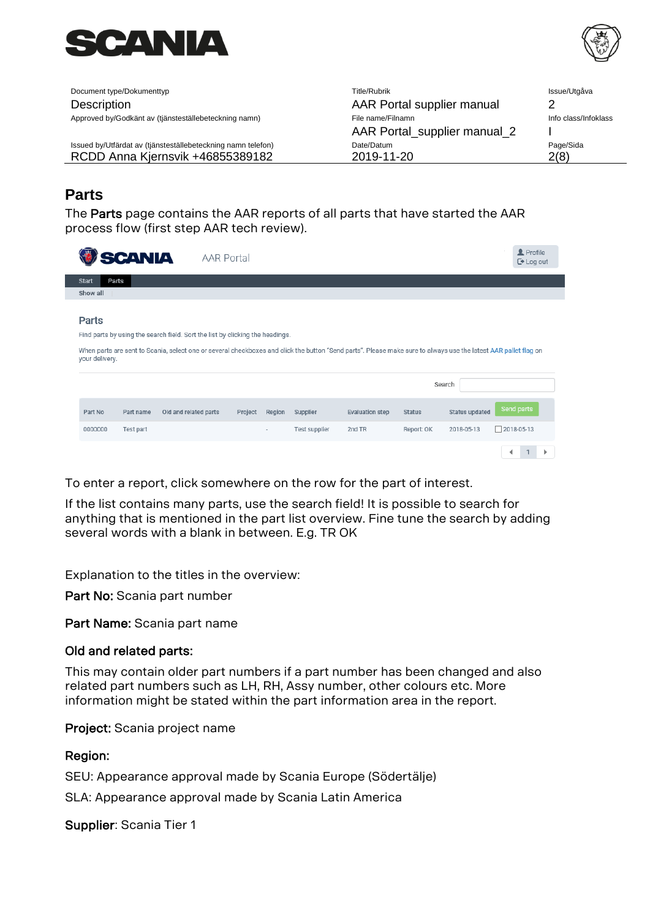



Document type/Dokumenttyp **Description** Approved by/Godkänt av (tjänsteställebeteckning namn)

Issued by/Utfärdat av (tjänsteställebeteckning namn telefon) RCDD Anna Kjernsvik +46855389182

| Title/Rubrik                 | Issue/Utgåva         |
|------------------------------|----------------------|
| AAR Portal supplier manual   | 2                    |
| File name/Filnamn            | Info class/Infoklass |
| AAR Portal_supplier manual_2 |                      |
| Date/Datum                   | Page/Sida            |
| 2019-11-20                   |                      |

# **Parts**

The Parts page contains the AAR reports of all parts that have started the AAR process flow (first step AAR tech review).

|                         | <b>SCANIA</b> | AAR Portal                                                                                                                                                                                                                                       |         |        |               |                        |               |                       | Profile<br>$\mathbb{C}$ Log out |  |
|-------------------------|---------------|--------------------------------------------------------------------------------------------------------------------------------------------------------------------------------------------------------------------------------------------------|---------|--------|---------------|------------------------|---------------|-----------------------|---------------------------------|--|
| Parts<br>Start          |               |                                                                                                                                                                                                                                                  |         |        |               |                        |               |                       |                                 |  |
| Show all                |               |                                                                                                                                                                                                                                                  |         |        |               |                        |               |                       |                                 |  |
| Parts<br>your delivery. |               | Find parts by using the search field. Sort the list by clicking the headings.<br>When parts are sent to Scania, select one or several checkboxes and click the button "Send parts". Please make sure to always use the latest AAR pallet flag on |         |        |               |                        |               |                       |                                 |  |
|                         |               |                                                                                                                                                                                                                                                  |         |        |               |                        |               | Search                |                                 |  |
| Part No                 | Part name     | Old and related parts                                                                                                                                                                                                                            | Project | Region | Supplier      | <b>Evaluation step</b> | <b>Status</b> | <b>Status updated</b> | Send parts                      |  |
| 0000000                 | Test part     |                                                                                                                                                                                                                                                  |         | ۰      | Test supplier | 2nd TR                 | Report: OK    | 2018-05-13            | $\Box$ 2018-05-13               |  |
|                         |               |                                                                                                                                                                                                                                                  |         |        |               |                        |               |                       |                                 |  |

To enter a report, click somewhere on the row for the part of interest.

If the list contains many parts, use the search field! It is possible to search for anything that is mentioned in the part list overview. Fine tune the search by adding several words with a blank in between. E.g. TR OK

Explanation to the titles in the overview:

Part No: Scania part number

Part Name: Scania part name

## Old and related parts:

This may contain older part numbers if a part number has been changed and also related part numbers such as LH, RH, Assy number, other colours etc. More information might be stated within the part information area in the report.

Project: Scania project name

## Region:

SEU: Appearance approval made by Scania Europe (Södertälje)

SLA: Appearance approval made by Scania Latin America

Supplier: Scania Tier 1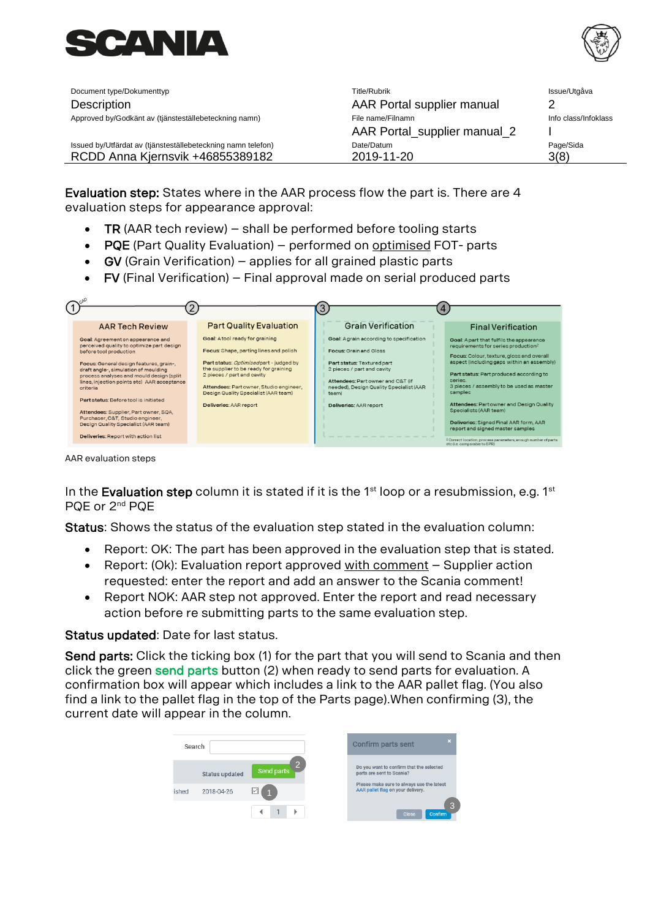



| Document type/Dokumenttyp                                    | Title/Rubrik                 | Issue/Utgåva         |
|--------------------------------------------------------------|------------------------------|----------------------|
| Description                                                  | AAR Portal supplier manual   |                      |
| Approved by/Godkänt av (tjänsteställebeteckning namn)        | File name/Filnamn            | Info class/Infoklass |
|                                                              | AAR Portal_supplier manual_2 |                      |
| Issued by/Utfärdat av (tjänsteställebeteckning namn telefon) | Date/Datum                   | Page/Sida            |
| RCDD Anna Kjernsvik +46855389182                             | 2019-11-20                   | 3(8)                 |

Evaluation step: States where in the AAR process flow the part is. There are 4 evaluation steps for appearance approval:

- TR (AAR tech review) shall be performed before tooling starts
- PQE (Part Quality Evaluation) performed on optimised FOT- parts
- GV (Grain Verification) applies for all grained plastic parts
- FV (Final Verification) Final approval made on serial produced parts

| <b>AAR Tech Review</b>                                                                                                                                                                                                                                                                                                                                                                                                                                                                                  | <b>Part Quality Evaluation</b>                                                                                                                                                                                                                                                                         | <b>Grain Verification</b>                                                                                                                                                                                                                               | <b>Final Verification</b>                                                                                                                                                                                                                                                                                                                                                                                                                                                                                                                                          |
|---------------------------------------------------------------------------------------------------------------------------------------------------------------------------------------------------------------------------------------------------------------------------------------------------------------------------------------------------------------------------------------------------------------------------------------------------------------------------------------------------------|--------------------------------------------------------------------------------------------------------------------------------------------------------------------------------------------------------------------------------------------------------------------------------------------------------|---------------------------------------------------------------------------------------------------------------------------------------------------------------------------------------------------------------------------------------------------------|--------------------------------------------------------------------------------------------------------------------------------------------------------------------------------------------------------------------------------------------------------------------------------------------------------------------------------------------------------------------------------------------------------------------------------------------------------------------------------------------------------------------------------------------------------------------|
| Goal: Agreement on appearance and<br>perceived quality to optimize part design<br>before tool production<br>Focus: General design features, grain-,<br>draft angle-, simulation of moulding<br>process analyses and mould design (split<br>lines, injection points etc) AAR acceptance<br>criteria<br>Part status: Before tool is initiated<br>Attendees: Supplier, Part owner, SQA,<br>Purchaser, C&T, Studio engineer,<br>Design Quality Specialist (AAR team)<br>Deliveries: Report with action list | Goal: Atool ready for graining<br>Focus: Shape, parting lines and polish<br>Part status: Optimised part - judged by<br>the supplier to be ready for graining<br>2 pieces / part and cavity<br>Attendees: Partowner, Studio engineer,<br>Design Quality Specialist (AAR team)<br>Deliveries: AAR report | Goal: Agrain according to specification<br><b>Focus: Grain and Gloss</b><br>Part status: Textured part<br>2 pieces / part and cavity<br>Attendees: Part owner and C&T (if<br>needed), Design Quality Specialist (AAR<br>team)<br>Deliveries: AAR report | Goal: Apart that fulfils the appearance<br>requirements for series production <sup>2</sup><br>Focus: Colour, texture, gloss and overall<br>aspect (including gaps within an assembly)<br>Part status: Part produced according to<br>series.<br>3 pieces / assembly to be used as master<br>samples<br>Attendees: Partowner and Design Quality<br>Specialists (AAR team)<br>Deliveries: Signed Final AAR form, AAR<br>report and signed master samples<br><sup>2</sup> Correct location, process parameters, enough number of parts<br>etc (i.e. comparable to SPR) |

AAR evaluation steps

In the Evaluation step column it is stated if it is the  $1<sup>st</sup>$  loop or a resubmission, e.g.  $1<sup>st</sup>$ PQE or 2nd PQE

Status: Shows the status of the evaluation step stated in the evaluation column:

- Report: OK: The part has been approved in the evaluation step that is stated.
- Report:  $(Ok)$ : Evaluation report approved with comment  $-$  Supplier action requested: enter the report and add an answer to the Scania comment!
- Report NOK: AAR step not approved. Enter the report and read necessary action before re submitting parts to the same evaluation step.

## Status updated: Date for last status.

Send parts: Click the ticking box (1) for the part that you will send to Scania and then click the green send parts button (2) when ready to send parts for evaluation. A confirmation box will appear which includes a link to the AAR pallet flag. (You also find a link to the pallet flag in the top of the Parts page).When confirming (3), the current date will appear in the column.

| Search |                       |                              | $\mathbf{x}$<br><b>Confirm parts sent</b>                                      |
|--------|-----------------------|------------------------------|--------------------------------------------------------------------------------|
|        | <b>Status updated</b> | $\overline{2}$<br>Send parts | Do you want to confirm that the selected<br>parts are sent to Scania?          |
| ished  | 2018-04-26            | EZ.                          | Please make sure to always use the latest<br>AAR pallet flag on your delivery. |
|        |                       |                              | 3<br>Close<br>Confirm                                                          |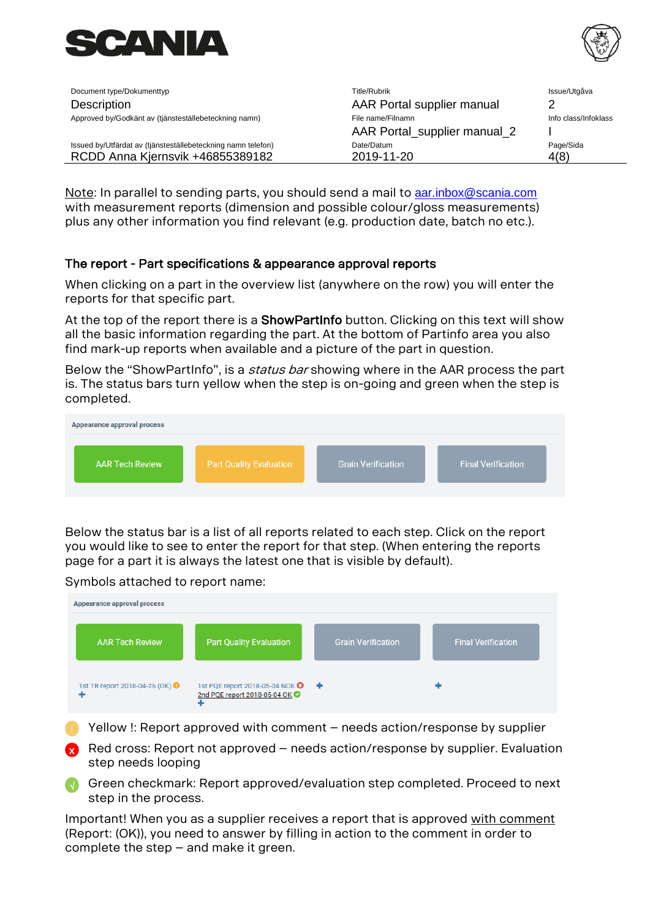



| Document type/Dokumenttyp                                    | Title/Rubrik                 | Issue/Utgåva         |
|--------------------------------------------------------------|------------------------------|----------------------|
| Description                                                  | AAR Portal supplier manual   |                      |
| Approved by/Godkänt av (tjänsteställebeteckning namn)        | File name/Filnamn            | Info class/Infoklass |
|                                                              | AAR Portal_supplier manual_2 |                      |
| Issued by/Utfärdat av (tjänsteställebeteckning namn telefon) | Date/Datum                   | Page/Sida            |
| RCDD Anna Kjernsvik +46855389182                             | 2019-11-20                   | 4(8)                 |

Note: In parallel to sending parts, you should send a mail to **[aar.inbox@scania.com](mailto:aar.inbox@scania.com)** with measurement reports (dimension and possible colour/gloss measurements) plus any other information you find relevant (e.g. production date, batch no etc.).

## The report - Part specifications & appearance approval reports

When clicking on a part in the overview list (anywhere on the row) you will enter the reports for that specific part.

At the top of the report there is a ShowPartInfo button. Clicking on this text will show all the basic information regarding the part. At the bottom of Partinfo area you also find mark-up reports when available and a picture of the part in question.

Below the "ShowPartInfo", is a *status bar* showing where in the AAR process the part is. The status bars turn yellow when the step is on-going and green when the step is completed.



Below the status bar is a list of all reports related to each step. Click on the report you would like to see to enter the report for that step. (When entering the reports page for a part it is always the latest one that is visible by default).

Symbols attached to report name:



- Yellow !: Report approved with comment needs action/response by supplier
- Red cross: Report not approved needs action/response by supplier. Evaluation step needs looping **X**
- Green checkmark: Report approved/evaluation step completed. Proceed to next step in the process. N

Important! When you as a supplier receives a report that is approved with comment (Report: (OK)), you need to answer by filling in action to the comment in order to complete the step – and make it green.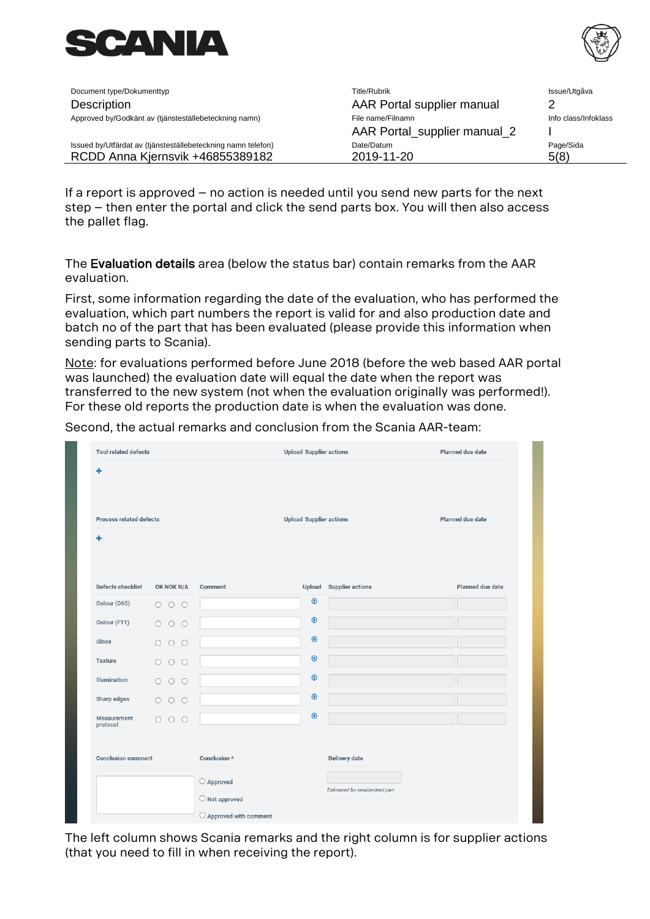



| Document type/Dokumenttyp                                    | Title/Rubrik                 | Issue/Utgåva         |
|--------------------------------------------------------------|------------------------------|----------------------|
| Description                                                  | AAR Portal supplier manual   | າ                    |
| Approved by/Godkänt av (tjänsteställebeteckning namn)        | File name/Filnamn            | Info class/Infoklass |
|                                                              | AAR Portal_supplier manual_2 |                      |
| Issued by/Utfärdat av (tjänsteställebeteckning namn telefon) | Date/Datum                   | Page/Sida            |
| RCDD Anna Kjernsvik +46855389182                             | 2019-11-20                   | 5(8)                 |

If a report is approved – no action is needed until you send new parts for the next step – then enter the portal and click the send parts box. You will then also access the pallet flag.

The Evaluation details area (below the status bar) contain remarks from the AAR evaluation.

First, some information regarding the date of the evaluation, who has performed the evaluation, which part numbers the report is valid for and also production date and batch no of the part that has been evaluated (please provide this information when sending parts to Scania).

Note: for evaluations performed before June 2018 (before the web based AAR portal was launched) the evaluation date will equal the date when the report was transferred to the new system (not when the evaluation originally was performed!). For these old reports the production date is when the evaluation was done.

Second, the actual remarks and conclusion from the Scania AAR-team:

|                                                        |                                                             |               |                         | Planned due date               |
|--------------------------------------------------------|-------------------------------------------------------------|---------------|-------------------------|--------------------------------|
|                                                        |                                                             |               |                         |                                |
|                                                        |                                                             |               |                         |                                |
| OK NOK N/A                                             | Comment                                                     | <b>Upload</b> | <b>Supplier actions</b> | Planned due date               |
| 000                                                    |                                                             | $\circledast$ |                         |                                |
| $\begin{array}{ccc} \circ & \circ & \circ \end{array}$ |                                                             | $\circledast$ |                         |                                |
| $\circ$<br>$O$ $O$                                     |                                                             | $\circledast$ |                         |                                |
| $\circ$<br>$\circ$ $\circ$                             |                                                             | $\circledast$ |                         |                                |
| 000                                                    |                                                             | $\bigcirc$    |                         |                                |
| $\begin{array}{ccc} \circ & \circ & \circ \end{array}$ |                                                             | $\circledast$ |                         |                                |
| 000                                                    |                                                             | $\circledast$ |                         |                                |
|                                                        | Conclusion *                                                |               | Delivery date           |                                |
|                                                        | $\bigcirc$ Approved                                         |               |                         |                                |
|                                                        | <b>Process related defects</b><br><b>Conclusion comment</b> |               |                         | <b>Upload Supplier actions</b> |

The left column shows Scania remarks and the right column is for supplier actions (that you need to fill in when receiving the report).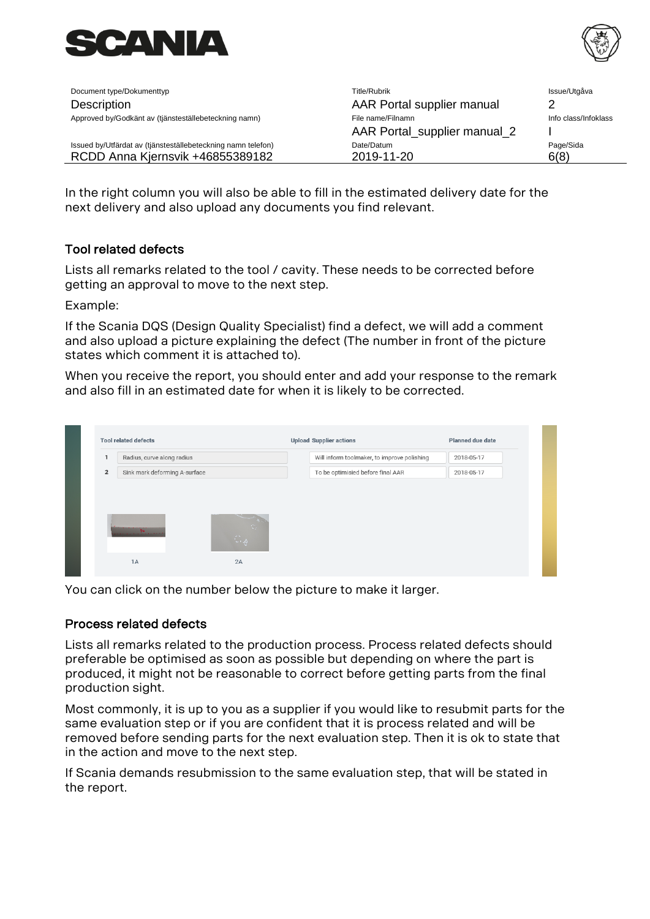



| Document type/Dokumenttyp                                    | Title/Rubrik                 | Issue/Utgåva         |
|--------------------------------------------------------------|------------------------------|----------------------|
| Description                                                  | AAR Portal supplier manual   |                      |
| Approved by/Godkänt av (tjänsteställebeteckning namn)        | File name/Filnamn            | Info class/Infoklass |
|                                                              | AAR Portal_supplier manual_2 |                      |
| Issued by/Utfärdat av (tjänsteställebeteckning namn telefon) | Date/Datum                   | Page/Sida            |
| RCDD Anna Kjernsvik +46855389182                             | 2019-11-20                   | 6(8)                 |

In the right column you will also be able to fill in the estimated delivery date for the next delivery and also upload any documents you find relevant.

## Tool related defects

Lists all remarks related to the tool / cavity. These needs to be corrected before getting an approval to move to the next step.

Example:

If the Scania DQS (Design Quality Specialist) find a defect, we will add a comment and also upload a picture explaining the defect (The number in front of the picture states which comment it is attached to).

When you receive the report, you should enter and add your response to the remark and also fill in an estimated date for when it is likely to be corrected.

You can click on the number below the picture to make it larger.

## Process related defects

Lists all remarks related to the production process. Process related defects should preferable be optimised as soon as possible but depending on where the part is produced, it might not be reasonable to correct before getting parts from the final production sight.

Most commonly, it is up to you as a supplier if you would like to resubmit parts for the same evaluation step or if you are confident that it is process related and will be removed before sending parts for the next evaluation step. Then it is ok to state that in the action and move to the next step.

If Scania demands resubmission to the same evaluation step, that will be stated in the report.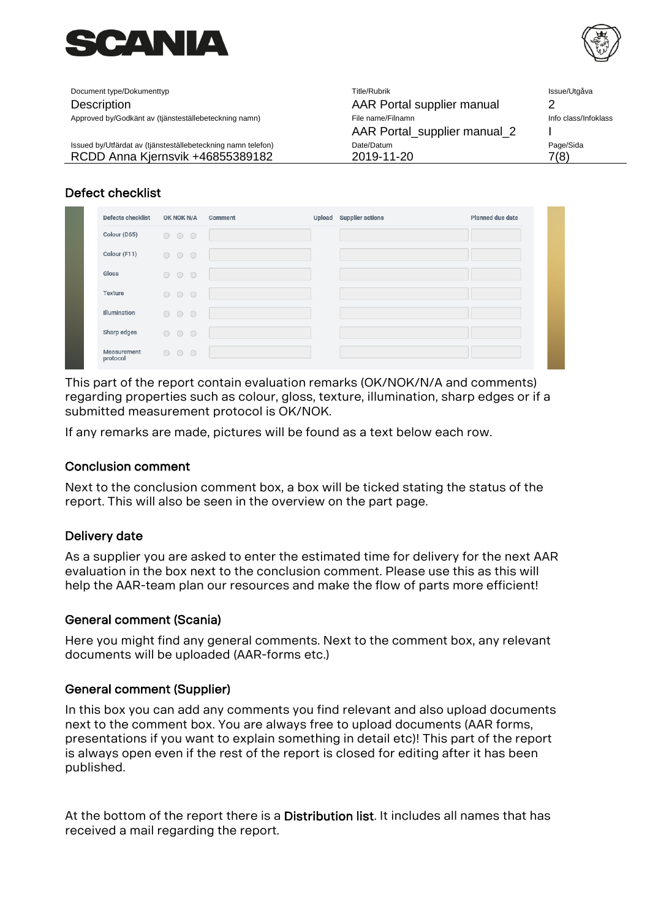



| Document type/Dokumenttyp                                    | Title/Rubrik                 | Issue/Utgåva         |
|--------------------------------------------------------------|------------------------------|----------------------|
| Description                                                  | AAR Portal supplier manual   |                      |
| Approved by/Godkänt av (tjänsteställebeteckning namn)        | File name/Filnamn            | Info class/Infoklass |
|                                                              | AAR Portal_supplier manual_2 |                      |
| Issued by/Utfärdat av (tjänsteställebeteckning namn telefon) | Date/Datum                   | Page/Sida            |
| RCDD Anna Kjernsvik +46855389182                             | 2019-11-20                   | 7(8)                 |

## Defect checklist

| <b>Defects checklist</b> | OK NOK N/A                                               | Comment | Upload Supplier actions | Planned due date |
|--------------------------|----------------------------------------------------------|---------|-------------------------|------------------|
| Colour (D65)             | $\begin{array}{ccc} & \circ & \circ & \circ \end{array}$ |         |                         |                  |
| Colour (F11)             | $\begin{array}{ccc} \circ & \circ & \circ \end{array}$   |         |                         |                  |
| Gloss                    | 000                                                      |         |                         |                  |
| Texture                  | $\begin{array}{ccc} \circ & \circ & \circ \end{array}$   |         |                         |                  |
| Illumination             | $\begin{array}{ccc} \circ & \circ & \circ \end{array}$   |         |                         |                  |
| Sharp edges              | $\begin{array}{ccc} \circ & \circ & \circ \end{array}$   |         |                         |                  |
| Measurement<br>protocol  | 000                                                      |         |                         |                  |

This part of the report contain evaluation remarks (OK/NOK/N/A and comments) regarding properties such as colour, gloss, texture, illumination, sharp edges or if a submitted measurement protocol is OK/NOK.

If any remarks are made, pictures will be found as a text below each row.

## Conclusion comment

Next to the conclusion comment box, a box will be ticked stating the status of the report. This will also be seen in the overview on the part page.

## Delivery date

As a supplier you are asked to enter the estimated time for delivery for the next AAR evaluation in the box next to the conclusion comment. Please use this as this will help the AAR-team plan our resources and make the flow of parts more efficient!

## General comment (Scania)

Here you might find any general comments. Next to the comment box, any relevant documents will be uploaded (AAR-forms etc.)

## General comment (Supplier)

In this box you can add any comments you find relevant and also upload documents next to the comment box. You are always free to upload documents (AAR forms, presentations if you want to explain something in detail etc)! This part of the report is always open even if the rest of the report is closed for editing after it has been published.

At the bottom of the report there is a Distribution list. It includes all names that has received a mail regarding the report.